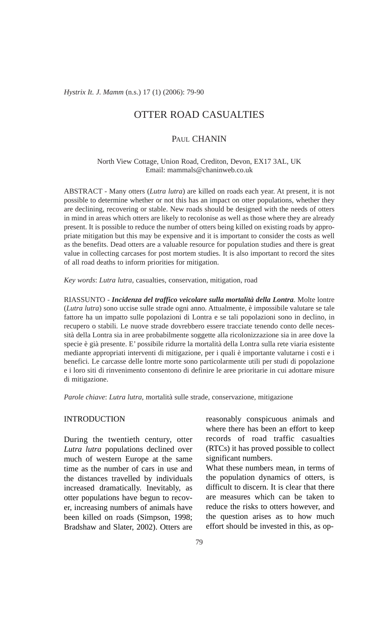*Hystrix It. J. Mamm* (n.s.) 17 (1) (2006): 79-90

# OTTER ROAD CASUALTIES

# PAUL CHANIN

North View Cottage, Union Road, Crediton, Devon, EX17 3AL, UK Email: mammals@chaninweb.co.uk

ABSTRACT - Many otters (*Lutra lutra*) are killed on roads each year. At present, it is not possible to determine whether or not this has an impact on otter populations, whether they are declining, recovering or stable. New roads should be designed with the needs of otters in mind in areas which otters are likely to recolonise as well as those where they are already present. It is possible to reduce the number of otters being killed on existing roads by appropriate mitigation but this may be expensive and it is important to consider the costs as well as the benefits. Dead otters are a valuable resource for population studies and there is great value in collecting carcases for post mortem studies. It is also important to record the sites of all road deaths to inform priorities for mitigation.

*Key words*: *Lutra lutra*, casualties, conservation, mitigation, road

RIASSUNTO - *Incidenza del traffico veicolare sulla mortalità della Lontra*. Molte lontre (*Lutra lutra*) sono uccise sulle strade ogni anno. Attualmente, è impossibile valutare se tale fattore ha un impatto sulle popolazioni di Lontra e se tali popolazioni sono in declino, in recupero o stabili. Le nuove strade dovrebbero essere tracciate tenendo conto delle necessità della Lontra sia in aree probabilmente soggette alla ricolonizzazione sia in aree dove la specie è già presente. E' possibile ridurre la mortalità della Lontra sulla rete viaria esistente mediante appropriati interventi di mitigazione, per i quali è importante valutarne i costi e i benefici. Le carcasse delle lontre morte sono particolarmente utili per studi di popolazione e i loro siti di rinvenimento consentono di definire le aree prioritarie in cui adottare misure di mitigazione.

*Parole chiave*: *Lutra lutra*, mortalità sulle strade, conservazione, mitigazione

### INTRODUCTION

During the twentieth century, otter *Lutra lutra* populations declined over much of western Europe at the same time as the number of cars in use and the distances travelled by individuals increased dramatically. Inevitably, as otter populations have begun to recover, increasing numbers of animals have been killed on roads (Simpson, 1998; Bradshaw and Slater, 2002). Otters are

reasonably conspicuous animals and where there has been an effort to keep records of road traffic casualties (RTCs) it has proved possible to collect significant numbers.

What these numbers mean, in terms of the population dynamics of otters, is difficult to discern. It is clear that there are measures which can be taken to reduce the risks to otters however, and the question arises as to how much effort should be invested in this, as op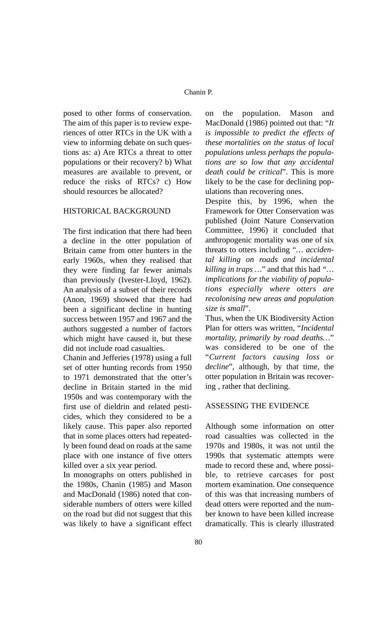posed to other forms of conservation. The aim of this paper is to review experiences of otter RTCs in the UK with a view to informing debate on such questions as: a) Are RTCs a threat to otter populations or their recovery? b) What measures are available to prevent, or reduce the risks of RTCs? c) How should resources be allocated?

# HISTORICAL BACKGROUND

The first indication that there had been a decline in the otter population of Britain came from otter hunters in the early 1960s, when they realised that they were finding far fewer animals than previously (Ivester-Lloyd, 1962). An analysis of a subset of their records (Anon, 1969) showed that there had been a significant decline in hunting success between 1957 and 1967 and the authors suggested a number of factors which might have caused it, but these did not include road casualties.

Chanin and Jefferies (1978) using a full set of otter hunting records from 1950 to 1971 demonstrated that the otter's decline in Britain started in the mid 1950s and was contemporary with the first use of dieldrin and related pesticides, which they considered to be a likely cause. This paper also reported that in some places otters had repeatedly been found dead on roads at the same place with one instance of five otters killed over a six year period.

In monographs on otters published in the 1980s, Chanin (1985) and Mason and MacDonald (1986) noted that considerable numbers of otters were killed on the road but did not suggest that this was likely to have a significant effect on the population. Mason and MacDonald (1986) pointed out that: "*It is impossible to predict the effects of these mortalities on the status of local populations unless perhaps the populations are so low that any accidental death could be critical*". This is more likely to be the case for declining populations than recovering ones.

Despite this, by 1996, when the Framework for Otter Conservation was published (Joint Nature Conservation Committee, 1996) it concluded that anthropogenic mortality was one of six threats to otters including "*… accidental killing on roads and incidental killing in traps …*" and that this had *"… implications for the viability of populations especially where otters are recolonising new areas and population size is small*".

Thus, when the UK Biodiversity Action Plan for otters was written, "*Incidental mortality, primarily by road deaths…*" was considered to be one of the "*Current factors causing loss or decline*", although, by that time, the otter population in Britain was recovering , rather that declining.

### ASSESSING THE EVIDENCE

Although some information on otter road casualties was collected in the 1970s and 1980s, it was not until the 1990s that systematic attempts were made to record these and, where possible, to retrieve carcases for post mortem examination. One consequence of this was that increasing numbers of dead otters were reported and the number known to have been killed increase dramatically. This is clearly illustrated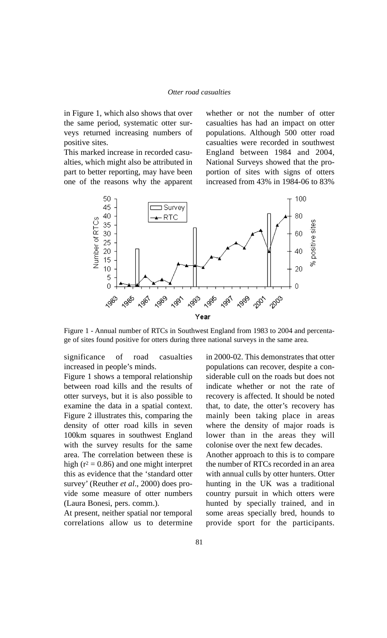in Figure 1, which also shows that over the same period, systematic otter surveys returned increasing numbers of positive sites.

This marked increase in recorded casualties, which might also be attributed in part to better reporting, may have been one of the reasons why the apparent whether or not the number of otter casualties has had an impact on otter populations. Although 500 otter road casualties were recorded in southwest England between 1984 and 2004, National Surveys showed that the proportion of sites with signs of otters increased from 43% in 1984-06 to 83%



Figure 1 - Annual number of RTCs in Southwest England from 1983 to 2004 and percentage of sites found positive for otters during three national surveys in the same area.

significance of road casualties increased in people's minds.

Figure 1 shows a temporal relationship between road kills and the results of otter surveys, but it is also possible to examine the data in a spatial context. Figure 2 illustrates this, comparing the density of otter road kills in seven 100km squares in southwest England with the survey results for the same area. The correlation between these is high ( $r^2$  = 0.86) and one might interpret this as evidence that the 'standard otter survey' (Reuther *et al*., 2000) does provide some measure of otter numbers (Laura Bonesi, pers. comm.).

At present, neither spatial nor temporal correlations allow us to determine in 2000-02. This demonstrates that otter populations can recover, despite a considerable cull on the roads but does not indicate whether or not the rate of recovery is affected. It should be noted that, to date, the otter's recovery has mainly been taking place in areas where the density of major roads is lower than in the areas they will colonise over the next few decades. Another approach to this is to compare

the number of RTCs recorded in an area with annual culls by otter hunters. Otter hunting in the UK was a traditional country pursuit in which otters were hunted by specially trained, and in some areas specially bred, hounds to provide sport for the participants.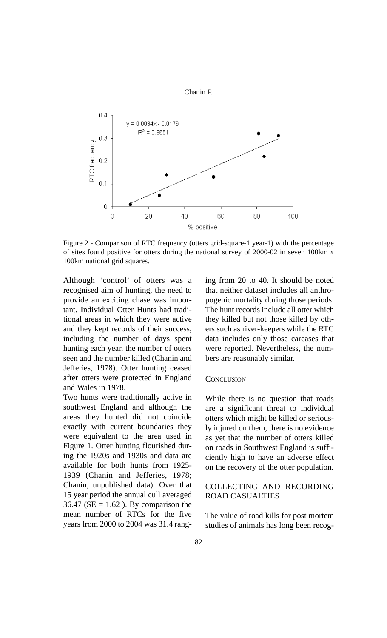

Chanin P.

Figure 2 - Comparison of RTC frequency (otters grid-square-1 year-1) with the percentage of sites found positive for otters during the national survey of 2000-02 in seven 100km x 100km national grid squares.

Although 'control' of otters was a recognised aim of hunting, the need to provide an exciting chase was important. Individual Otter Hunts had traditional areas in which they were active and they kept records of their success, including the number of days spent hunting each year, the number of otters seen and the number killed (Chanin and Jefferies, 1978). Otter hunting ceased after otters were protected in England and Wales in 1978.

Two hunts were traditionally active in southwest England and although the areas they hunted did not coincide exactly with current boundaries they were equivalent to the area used in Figure 1. Otter hunting flourished during the 1920s and 1930s and data are available for both hunts from 1925- 1939 (Chanin and Jefferies, 1978; Chanin, unpublished data). Over that 15 year period the annual cull averaged 36.47 ( $SE = 1.62$ ). By comparison the mean number of RTCs for the five years from 2000 to 2004 was 31.4 ranging from 20 to 40. It should be noted that neither dataset includes all anthro pogenic mortality during those periods. The hunt records include all otter which they killed but not those killed by oth ers such as river-keepers while the RTC data includes only those carcases that were reported. Nevertheless, the num bers are reasonably similar.

#### **CONCLUSION**

While there is no question that roads are a significant threat to individual otters which might be killed or serious ly injured on them, there is no evidence as yet that the number of otters killed on roads in Southwest England is suffi ciently high to have an adverse effect on the recovery of the otter population.

# COLLECTING AND RECORDING ROAD CASUALTIES

The value of road kills for post mortem studies of animals has long been recog-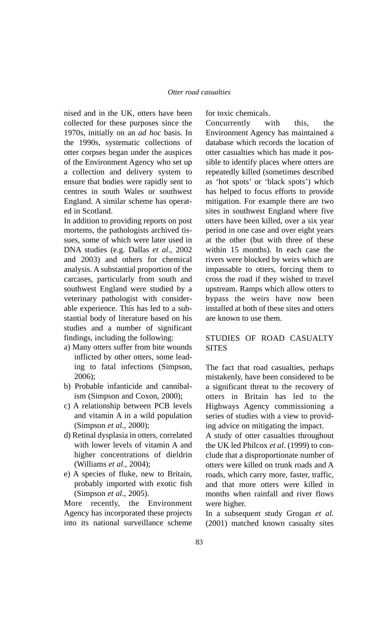nised and in the UK, otters have been collected for these purposes since the 1970s, initially on an *ad hoc* basis. In the 1990s, systematic collections of otter corpses began under the auspices of the Environment Agency who set up a collection and delivery system to ensure that bodies were rapidly sent to centres in south Wales or southwest England. A similar scheme has operated in Scotland.

In addition to providing reports on post mortems, the pathologists archived tissues, some of which were later used in DNA studies (e.g. Dallas *et al*., 2002 and 2003) and others for chemical analysis. A substantial proportion of the carcases, particularly from south and southwest England were studied by a veterinary pathologist with considerable experience. This has led to a substantial body of literature based on his studies and a number of significant findings, including the following:

- a) Many otters suffer from bite wounds inflicted by other otters, some leading to fatal infections (Simpson, 2006);
- b) Probable infanticide and cannibalism (Simpson and Coxon, 2000);
- c) A relationship between PCB levels and vitamin A in a wild population (Simpson *et al*., 2000);
- d) Retinal dysplasia in otters, correlated with lower levels of vitamin A and higher concentrations of dieldrin (Williams *et al*., 2004);
- e) A species of fluke, new to Britain, probably imported with exotic fish (Simpson *et al*., 2005).

More recently, the Environment Agency has incorporated these projects into its national surveillance scheme

for toxic chemicals.

Concurrently with this, the Environment Agency has maintained a database which records the location of otter casualties which has made it possible to identify places where otters are repeatedly killed (sometimes described as 'hot spots' or 'black spots') which has helped to focus efforts to provide mitigation. For example there are two sites in southwest England where five otters have been killed, over a six year period in one case and over eight years at the other (but with three of these within 15 months). In each case the rivers were blocked by weirs which are impassable to otters, forcing them to cross the road if they wished to travel upstream. Ramps which allow otters to bypass the weirs have now been installed at both of these sites and otters are known to use them.

# STUDIES OF ROAD CASUALTY **SITES**

The fact that road casualties, perhaps mistakenly, have been considered to be a significant threat to the recovery of otters in Britain has led to the Highways Agency commissioning a series of studies with a view to providing advice on mitigating the impact.

A study of otter casualties throughout the UK led Philcox *et al*. (1999) to conclude that a disproportionate number of otters were killed on trunk roads and A roads, which carry more, faster, traffic, and that more otters were killed in months when rainfall and river flows were higher.

In a subsequent study Grogan *et al.* (2001) matched known casualty sites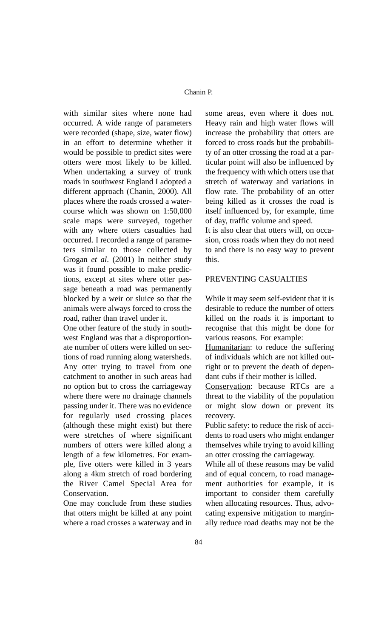with similar sites where none had occurred. A wide range of parameters were recorded (shape, size, water flow) in an effort to determine whether it would be possible to predict sites were otters were most likely to be killed. When undertaking a survey of trunk roads in southwest England I adopted a different approach (Chanin, 2000). All places where the roads crossed a watercourse which was shown on 1:50,000 scale maps were surveyed, together with any where otters casualties had occurred. I recorded a range of parameters similar to those collected by Grogan *et al*. (2001) In neither study was it found possible to make predictions, except at sites where otter passage beneath a road was permanently blocked by a weir or sluice so that the animals were always forced to cross the road, rather than travel under it.

One other feature of the study in southwest England was that a disproportionate number of otters were killed on sections of road running along watersheds. Any otter trying to travel from one catchment to another in such areas had no option but to cross the carriageway where there were no drainage channels passing under it. There was no evidence for regularly used crossing places (although these might exist) but there were stretches of where significant numbers of otters were killed along a length of a few kilometres. For example, five otters were killed in 3 years along a 4km stretch of road bordering the River Camel Special Area for Conservation.

One may conclude from these studies that otters might be killed at any point where a road crosses a waterway and in some areas, even where it does not. Heavy rain and high water flows will increase the probability that otters are forced to cross roads but the probability of an otter crossing the road at a particular point will also be influenced by the frequency with which otters use that stretch of waterway and variations in flow rate. The probability of an otter being killed as it crosses the road is itself influenced by, for example, time of day, traffic volume and speed.

It is also clear that otters will, on occasion, cross roads when they do not need to and there is no easy way to prevent this.

# PREVENTING CASUALTIES

While it may seem self-evident that it is desirable to reduce the number of otters killed on the roads it is important to recognise that this might be done for various reasons. For example:

Humanitarian: to reduce the suffering of individuals which are not killed outright or to prevent the death of dependant cubs if their mother is killed.

Conservation: because RTCs are a threat to the viability of the population or might slow down or prevent its recovery.

Public safety: to reduce the risk of accidents to road users who might endanger themselves while trying to avoid killing an otter crossing the carriageway.

While all of these reasons may be valid and of equal concern, to road management authorities for example, it is important to consider them carefully when allocating resources. Thus, advocating expensive mitigation to marginally reduce road deaths may not be the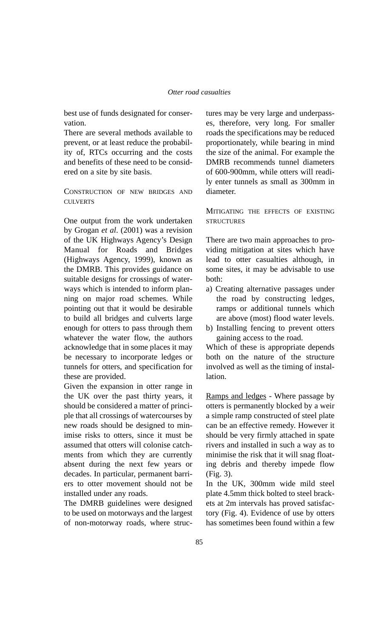best use of funds designated for conservation.

There are several methods available to prevent, or at least reduce the probability of, RTCs occurring and the costs and benefits of these need to be considered on a site by site basis.

CONSTRUCTION OF NEW BRIDGES AND **CULVERTS** 

One output from the work undertaken by Grogan *et al*. (2001) was a revision of the UK Highways Agency's Design Manual for Roads and Bridges (Highways Agency, 1999), known as the DMRB. This provides guidance on suitable designs for crossings of waterways which is intended to inform planning on major road schemes. While pointing out that it would be desirable to build all bridges and culverts large enough for otters to pass through them whatever the water flow, the authors acknowledge that in some places it may be necessary to incorporate ledges or tunnels for otters, and specification for these are provided.

Given the expansion in otter range in the UK over the past thirty years, it should be considered a matter of principle that all crossings of watercourses by new roads should be designed to minimise risks to otters, since it must be assumed that otters will colonise catchments from which they are currently absent during the next few years or decades. In particular, permanent barriers to otter movement should not be installed under any roads.

The DMRB guidelines were designed to be used on motorways and the largest of non-motorway roads, where structures may be very large and underpass es, therefore, very long. For smaller roads the specifications may be reduced proportionately, while bearing in mind the size of the animal. For example the DMRB recommends tunnel diameters of 600-900mm, while otters will readi ly enter tunnels as small as 300mm in diameter.

MITIGATING THE EFFECTS OF EXISTING **STRUCTURES** 

There are two main approaches to pro viding mitigation at sites which have lead to otter casualties although, in some sites, it may be advisable to use both:

- a) Creating alternative passages under the road by constructing ledges, ramps or additional tunnels which are above (most) flood water levels.
- b) Installing fencing to prevent otters gaining access to the road.

Which of these is appropriate depends both on the nature of the structure involved as well as the timing of instal lation.

Ramps and ledges - Where passage by otters is permanently blocked by a weir a simple ramp constructed of steel plate can be an effective remedy. However it should be very firmly attached in spate rivers and installed in such a way as to minimise the risk that it will snag float ing debris and thereby impede flow (Fig. 3).

In the UK, 300mm wide mild steel plate 4.5mm thick bolted to steel brack ets at 2m intervals has proved satisfac tory (Fig. 4). Evidence of use by otters has sometimes been found within a few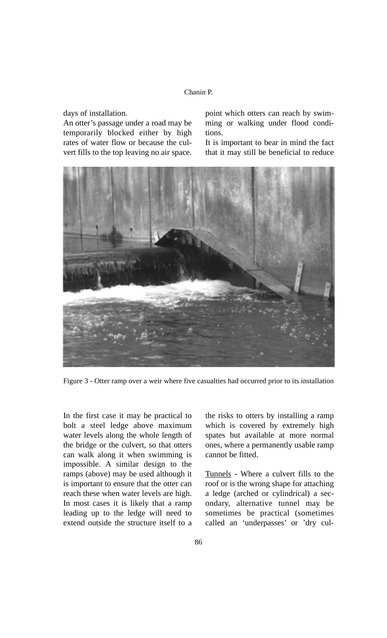### Chanin P.

days of installation.

An otter's passage under a road may be temporarily blocked either by high rates of water flow or because the culvert fills to the top leaving no air space. point which otters can reach by swimming or walking under flood conditions.

It is important to bear in mind the fact that it may still be beneficial to reduce



Figure 3 - Otter ramp over a weir where five casualties had occurred prior to its installation

In the first case it may be practical to bolt a steel ledge above maximum water levels along the whole length of the bridge or the culvert, so that otters can walk along it when swimming is impossible. A similar design to the ramps (above) may be used although it is important to ensure that the otter can reach these when water levels are high. In most cases it is likely that a ramp leading up to the ledge will need to extend outside the structure itself to a

the risks to otters by installing a ramp which is covered by extremely high spates but available at more normal ones, where a permanently usable ramp cannot be fitted.

Tunnels **-** Where a culvert fills to the roof or is the wrong shape for attaching a ledge (arched or cylindrical) a secondary, alternative tunnel may be sometimes be practical (sometimes called an 'underpasses' or 'dry cul-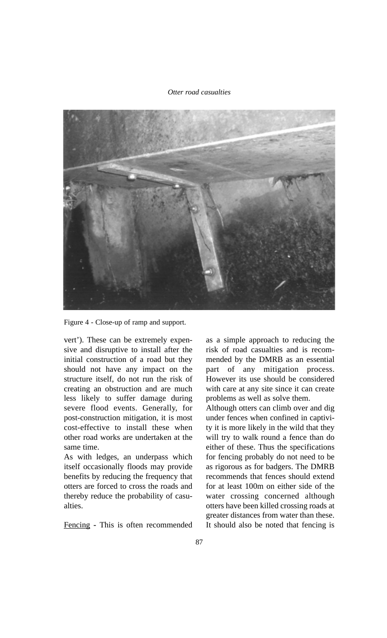#### *Otter road casualties*



Figure 4 - Close-up of ramp and support.

vert'). These can be extremely expensive and disruptive to install after the initial construction of a road but they should not have any impact on the structure itself, do not run the risk of creating an obstruction and are much less likely to suffer damage during severe flood events. Generally, for post-construction mitigation, it is most cost-effective to install these when other road works are undertaken at the same time.

As with ledges, an underpass which itself occasionally floods may provide benefits by reducing the frequency that otters are forced to cross the roads and thereby reduce the probability of casualties.

Fencing **-** This is often recommended

as a simple approach to reducing the risk of road casualties and is recommended by the DMRB as an essential part of any mitigation process. However its use should be considered with care at any site since it can create problems as well as solve them.

Although otters can climb over and dig under fences when confined in captivity it is more likely in the wild that they will try to walk round a fence than do either of these. Thus the specifications for fencing probably do not need to be as rigorous as for badgers. The DMRB recommends that fences should extend for at least 100m on either side of the water crossing concerned although otters have been killed crossing roads at greater distances from water than these. It should also be noted that fencing is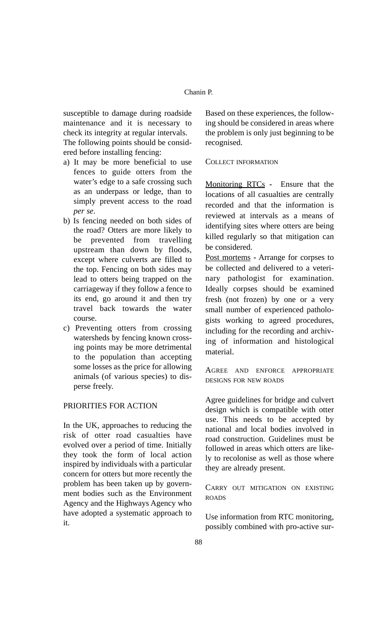susceptible to damage during roadside maintenance and it is necessary to check its integrity at regular intervals.

The following points should be considered before installing fencing:

- a) It may be more beneficial to use fences to guide otters from the water's edge to a safe crossing such as an underpass or ledge, than to simply prevent access to the road *per se*.
- b) Is fencing needed on both sides of the road? Otters are more likely to be prevented from travelling upstream than down by floods, except where culverts are filled to the top. Fencing on both sides may lead to otters being trapped on the carriageway if they follow a fence to its end, go around it and then try travel back towards the water course.
- c) Preventing otters from crossing watersheds by fencing known crossing points may be more detrimental to the population than accepting some losses as the price for allowing animals (of various species) to disperse freely.

# PRIORITIES FOR ACTION

In the UK, approaches to reducing the risk of otter road casualties have evolved over a period of time. Initially they took the form of local action inspired by individuals with a particular concern for otters but more recently the problem has been taken up by government bodies such as the Environment Agency and the Highways Agency who have adopted a systematic approach to it.

Based on these experiences, the following should be considered in areas where the problem is only just beginning to be recognised.

#### COLLECT INFORMATION

Monitoring RTCs **-** Ensure that the locations of all casualties are centrally recorded and that the information is reviewed at intervals as a means of identifying sites where otters are being killed regularly so that mitigation can be considered.

Post mortems **-** Arrange for corpses to be collected and delivered to a veterinary pathologist for examination. Ideally corpses should be examined fresh (not frozen) by one or a very small number of experienced pathologists working to agreed procedures, including for the recording and archiving of information and histological material.

AGREE AND ENFORCE APPROPRIATE DESIGNS FOR NEW ROADS

Agree guidelines for bridge and culvert design which is compatible with otter use. This needs to be accepted by national and local bodies involved in road construction. Guidelines must be followed in areas which otters are likely to recolonise as well as those where they are already present.

CARRY OUT MITIGATION ON EXISTING ROADS

Use information from RTC monitoring, possibly combined with pro-active sur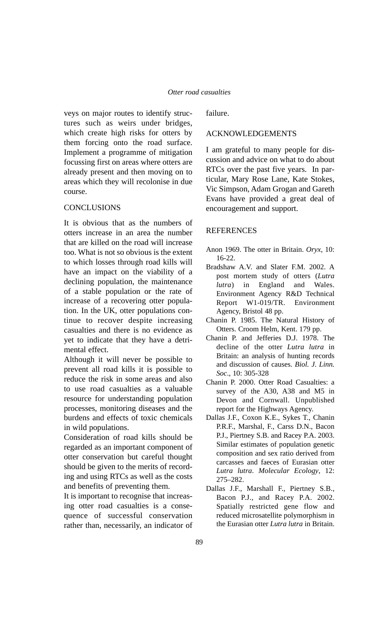veys on major routes to identify structures such as weirs under bridges, which create high risks for otters by them forcing onto the road surface. Implement a programme of mitigation focussing first on areas where otters are already present and then moving on to areas which they will recolonise in due course.

### **CONCLUSIONS**

It is obvious that as the numbers of otters increase in an area the number that are killed on the road will increase too. What is not so obvious is the extent to which losses through road kills will have an impact on the viability of a declining population, the maintenance of a stable population or the rate of increase of a recovering otter population. In the UK, otter populations continue to recover despite increasing casualties and there is no evidence as yet to indicate that they have a detrimental effect.

Although it will never be possible to prevent all road kills it is possible to reduce the risk in some areas and also to use road casualties as a valuable resource for understanding population processes, monitoring diseases and the burdens and effects of toxic chemicals in wild populations.

Consideration of road kills should be regarded as an important component of otter conservation but careful thought should be given to the merits of recording and using RTCs as well as the costs and benefits of preventing them.

It is important to recognise that increasing otter road casualties is a consequence of successful conservation rather than, necessarily, an indicator of

failure.

## ACKNOWLEDGEMENTS

I am grateful to many people for discussion and advice on what to do about RTCs over the past five years. In particular, Mary Rose Lane, Kate Stokes, Vic Simpson, Adam Grogan and Gareth Evans have provided a great deal of encouragement and support.

# **REFERENCES**

- Anon 1969. The otter in Britain. *Oryx*, 10: 16-22.
- Bradshaw A.V. and Slater F.M. 2002. A post mortem study of otters (*Lutra lutra*) in England and Wales. Environment Agency R&D Technical Report W1-019/TR. Environment Agency, Bristol 48 pp.
- Chanin P. 1985. The Natural History of Otters. Croom Helm, Kent. 179 pp.
- Chanin P. and Jefferies D.J. 1978. The decline of the otter *Lutra lutra* in Britain: an analysis of hunting records and discussion of causes. *Biol. J. Linn. Soc*., 10: 305-328
- Chanin P. 2000. Otter Road Casualties: a survey of the A30, A38 and M5 in Devon and Cornwall. Unpublished report for the Highways Agency.
- Dallas J.F., Coxon K.E., Sykes T., Chanin P.R.F., Marshal, F., Carss D.N., Bacon P.J., Piertney S.B. and Racey P.A. 2003. Similar estimates of population genetic composition and sex ratio derived from carcasses and faeces of Eurasian otter *Lutra lutra*. *Molecular Ecology*, 12: 275–282.
- Dallas J.F., Marshall F., Piertney S.B., Bacon P.J., and Racey P.A. 2002. Spatially restricted gene flow and reduced microsatellite polymorphism in the Eurasian otter *Lutra lutra* in Britain.